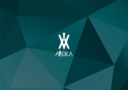